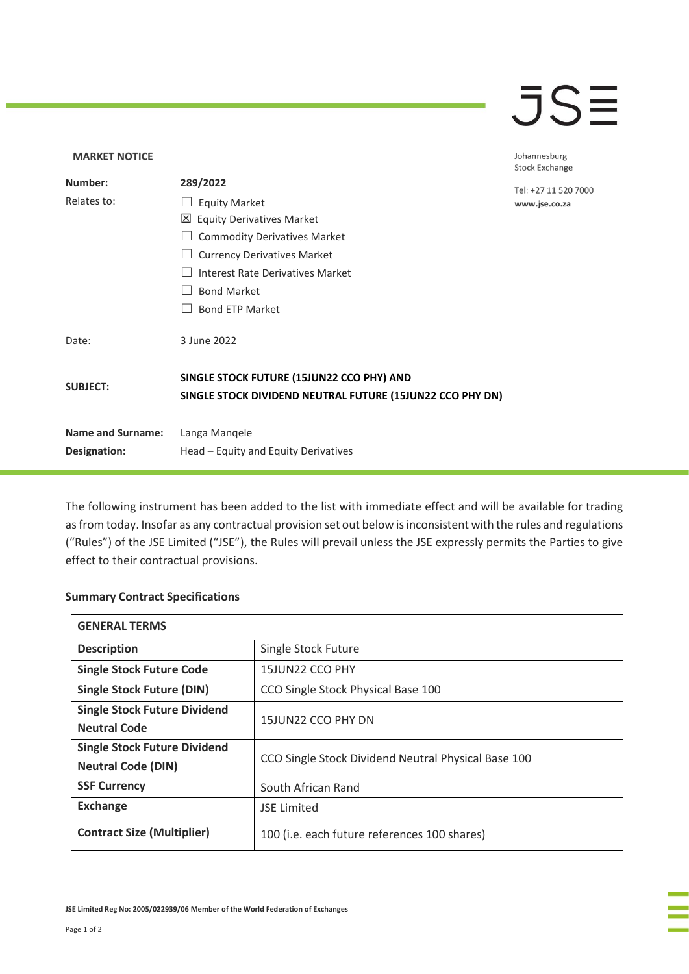## $\overline{\mathsf{J}}\mathsf{S}\overline{\mathsf{H}}$

## **MARKET NOTICE** Johannesburg **Stock Exchange Number: 289/2022** Tel: +27 11 520 7000 Relates to: □ Equity Market www.jse.co.za Equity Derivatives Market ☐ Commodity Derivatives Market □ Currency Derivatives Market ☐ Interest Rate Derivatives Market ☐ Bond Market □ Bond ETP Market Date: 3 June 2022 **SINGLE STOCK FUTURE (15JUN22 CCO PHY) AND SUBJECT: SINGLE STOCK DIVIDEND NEUTRAL FUTURE (15JUN22 CCO PHY DN) Name and Surname:** Langa Manqele **Designation:** Head – Equity and Equity Derivatives

The following instrument has been added to the list with immediate effect and will be available for trading as from today. Insofar as any contractual provision set out below is inconsistent with the rules and regulations ("Rules") of the JSE Limited ("JSE"), the Rules will prevail unless the JSE expressly permits the Parties to give effect to their contractual provisions.

## **Summary Contract Specifications**

| <b>GENERAL TERMS</b>                |                                                     |
|-------------------------------------|-----------------------------------------------------|
| <b>Description</b>                  | Single Stock Future                                 |
| <b>Single Stock Future Code</b>     | 15JUN22 CCO PHY                                     |
| <b>Single Stock Future (DIN)</b>    | CCO Single Stock Physical Base 100                  |
| <b>Single Stock Future Dividend</b> | 15JUN22 CCO PHY DN                                  |
| <b>Neutral Code</b>                 |                                                     |
| <b>Single Stock Future Dividend</b> | CCO Single Stock Dividend Neutral Physical Base 100 |
| <b>Neutral Code (DIN)</b>           |                                                     |
| <b>SSF Currency</b>                 | South African Rand                                  |
| <b>Exchange</b>                     | <b>JSE Limited</b>                                  |
| <b>Contract Size (Multiplier)</b>   | 100 (i.e. each future references 100 shares)        |

**JSE Limited Reg No: 2005/022939/06 Member of the World Federation of Exchanges**